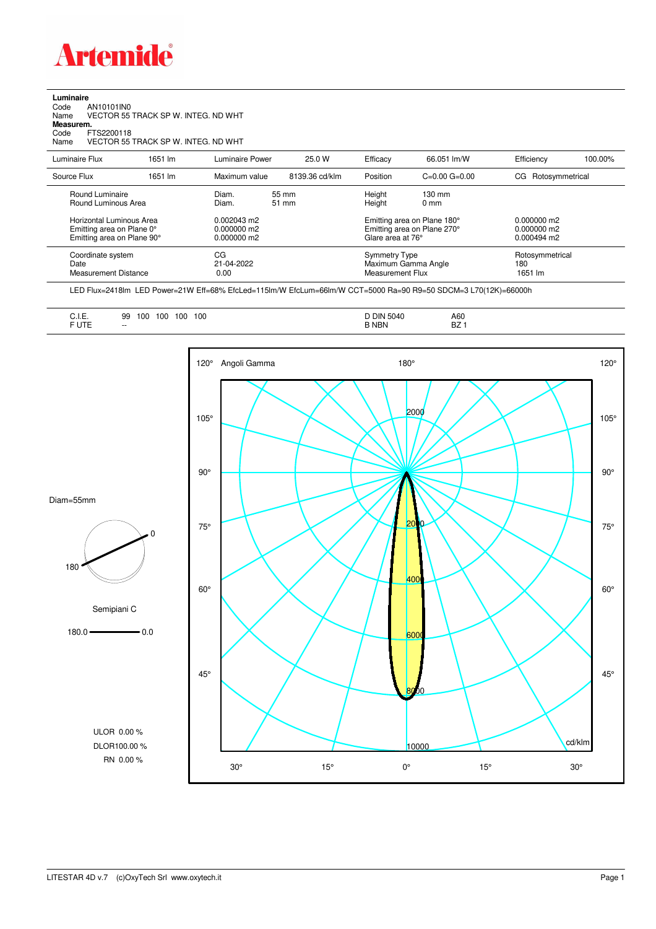

**Luminaire**<br>Code<br>Name Code AN10101IN0 Name VECTOR 55 TRACK SP W. INTEG. ND WHT **Measurem.** Code FTS2200118<br>Name VECTOR 55

Name VECTOR 55 TRACK SP W. INTEG. ND WHT

| Luminaire Flux                                                                      | 1651 lm | Luminaire Power                                 | 25.0 W         | Efficacy         | 66.051 lm/W                                                                     | Efficiency                        | 100.00% |
|-------------------------------------------------------------------------------------|---------|-------------------------------------------------|----------------|------------------|---------------------------------------------------------------------------------|-----------------------------------|---------|
| Source Flux                                                                         | 1651 lm | Maximum value                                   | 8139.36 cd/klm | Position         | $C=0.00$ $G=0.00$                                                               | CG Rotosymmetrical                |         |
| Round Luminaire<br>Round Luminous Area                                              |         | Diam.<br>Diam.                                  | 55 mm<br>51 mm | Height<br>Height | $130 \text{ mm}$<br>$0 \text{ mm}$                                              |                                   |         |
| Horizontal Luminous Area<br>Emitting area on Plane 0°<br>Emitting area on Plane 90° |         | $0.002043$ m2<br>$0.000000$ m2<br>$0.000000$ m2 |                |                  | Emitting area on Plane 180°<br>Emitting area on Plane 270°<br>Glare area at 76° |                                   |         |
| Coordinate system<br>Date<br>Measurement Distance                                   |         | CG<br>21-04-2022<br>0.00                        |                |                  | Symmetry Type<br>Maximum Gamma Angle<br>Measurement Flux                        | Rotosymmetrical<br>180<br>1651 lm |         |

LED Flux=2418lm LED Power=21W Eff=68% EfcLed=115lm/W EfcLum=66lm/W CCT=5000 Ra=90 R9=50 SDCM=3 L70(12K)=66000h